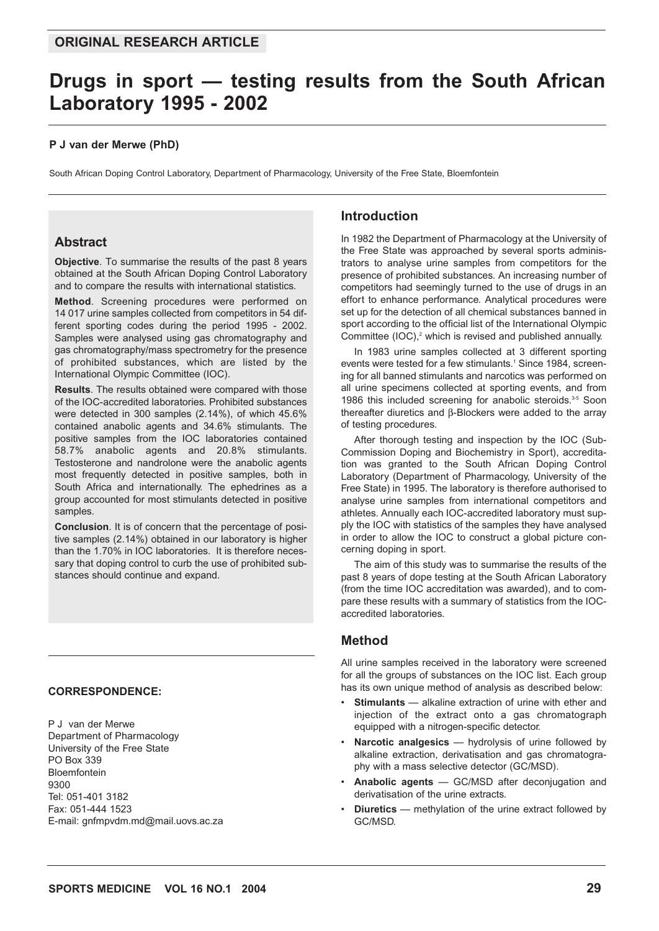# **Drugs in sport — testing results from the South African Laboratory 1995 - 2002**

#### **P J van der Merwe (PhD)**

South African Doping Control Laboratory, Department of Pharmacology, University of the Free State, Bloemfontein

# **Abstract**

**Objective**. To summarise the results of the past 8 years obtained at the South African Doping Control Laboratory and to compare the results with international statistics.

**Method**. Screening procedures were performed on 14 017 urine samples collected from competitors in 54 different sporting codes during the period 1995 - 2002. Samples were analysed using gas chromatography and gas chromatography/mass spectrometry for the presence of prohibited substances, which are listed by the International Olympic Committee (IOC).

**Results**. The results obtained were compared with those of the IOC-accredited laboratories. Prohibited substances were detected in 300 samples (2.14%), of which 45.6% contained anabolic agents and 34.6% stimulants. The positive samples from the IOC laboratories contained 58.7% anabolic agents and 20.8% stimulants. Testosterone and nandrolone were the anabolic agents most frequently detected in positive samples, both in South Africa and internationally. The ephedrines as a group accounted for most stimulants detected in positive samples.

**Conclusion**. It is of concern that the percentage of positive samples (2.14%) obtained in our laboratory is higher than the 1.70% in IOC laboratories. It is therefore necessary that doping control to curb the use of prohibited substances should continue and expand.

#### **CORRESPONDENCE:**

P J van der Merwe Department of Pharmacology University of the Free State PO Box 339 Bloemfontein 9300 Tel: 051-401 3182 Fax: 051-444 1523 E-mail: gnfmpvdm.md@mail.uovs.ac.za

### **Introduction**

In 1982 the Department of Pharmacology at the University of the Free State was approached by several sports administrators to analyse urine samples from competitors for the presence of prohibited substances. An increasing number of competitors had seemingly turned to the use of drugs in an effort to enhance performance. Analytical procedures were set up for the detection of all chemical substances banned in sport according to the official list of the International Olympic Committee  $(IOC)<sub>2</sub>$ <sup>2</sup> which is revised and published annually.

In 1983 urine samples collected at 3 different sporting events were tested for a few stimulants.<sup>1</sup> Since 1984, screening for all banned stimulants and narcotics was performed on all urine specimens collected at sporting events, and from 1986 this included screening for anabolic steroids.<sup>3-5</sup> Soon thereafter diuretics and β-Blockers were added to the array of testing procedures.

After thorough testing and inspection by the IOC (Sub-Commission Doping and Biochemistry in Sport), accreditation was granted to the South African Doping Control Laboratory (Department of Pharmacology, University of the Free State) in 1995. The laboratory is therefore authorised to analyse urine samples from international competitors and athletes. Annually each IOC-accredited laboratory must supply the IOC with statistics of the samples they have analysed in order to allow the IOC to construct a global picture concerning doping in sport.

The aim of this study was to summarise the results of the past 8 years of dope testing at the South African Laboratory (from the time IOC accreditation was awarded), and to compare these results with a summary of statistics from the IOCaccredited laboratories.

## **Method**

All urine samples received in the laboratory were screened for all the groups of substances on the IOC list. Each group has its own unique method of analysis as described below:

- **Stimulants** alkaline extraction of urine with ether and injection of the extract onto a gas chromatograph equipped with a nitrogen-specific detector.
- **Narcotic analgesics** hydrolysis of urine followed by alkaline extraction, derivatisation and gas chromatography with a mass selective detector (GC/MSD).
- **Anabolic agents** GC/MSD after deconjugation and derivatisation of the urine extracts.
- **Diuretics** methylation of the urine extract followed by GC/MSD.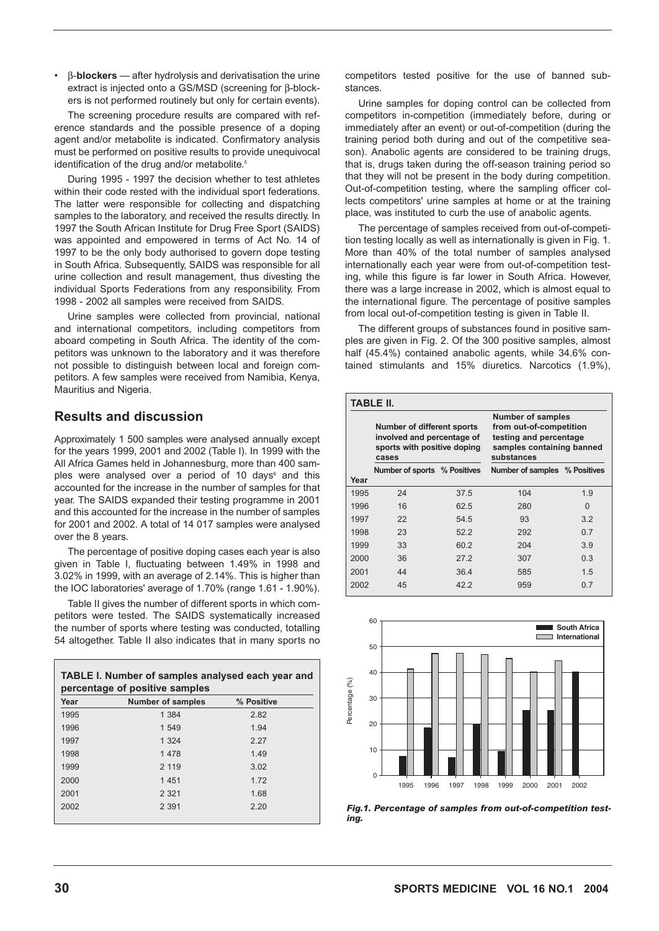• β-**blockers** — after hydrolysis and derivatisation the urine extract is injected onto a GS/MSD (screening for β-blockers is not performed routinely but only for certain events).

The screening procedure results are compared with reference standards and the possible presence of a doping agent and/or metabolite is indicated. Confirmatory analysis must be performed on positive results to provide unequivocal identification of the drug and/or metabolite.<sup>5</sup>

During 1995 - 1997 the decision whether to test athletes within their code rested with the individual sport federations. The latter were responsible for collecting and dispatching samples to the laboratory, and received the results directly. In 1997 the South African Institute for Drug Free Sport (SAIDS) was appointed and empowered in terms of Act No. 14 of 1997 to be the only body authorised to govern dope testing in South Africa. Subsequently, SAIDS was responsible for all urine collection and result management, thus divesting the individual Sports Federations from any responsibility. From 1998 - 2002 all samples were received from SAIDS.

Urine samples were collected from provincial, national and international competitors, including competitors from aboard competing in South Africa. The identity of the competitors was unknown to the laboratory and it was therefore not possible to distinguish between local and foreign competitors. A few samples were received from Namibia, Kenya, Mauritius and Nigeria.

# **Results and discussion**

Approximately 1 500 samples were analysed annually except for the years 1999, 2001 and 2002 (Table I). In 1999 with the All Africa Games held in Johannesburg, more than 400 samples were analysed over a period of 10 days<sup>6</sup> and this accounted for the increase in the number of samples for that year. The SAIDS expanded their testing programme in 2001 and this accounted for the increase in the number of samples for 2001 and 2002. A total of 14 017 samples were analysed over the 8 years.

The percentage of positive doping cases each year is also given in Table I, fluctuating between 1.49% in 1998 and 3.02% in 1999, with an average of 2.14%. This is higher than the IOC laboratories' average of 1.70% (range 1.61 - 1.90%).

Table II gives the number of different sports in which competitors were tested. The SAIDS systematically increased the number of sports where testing was conducted, totalling 54 altogether. Table II also indicates that in many sports no

|      | <b>TABLE I. Number of samples analysed each year and</b><br>percentage of positive samples |            |  |  |  |
|------|--------------------------------------------------------------------------------------------|------------|--|--|--|
| Year | <b>Number of samples</b>                                                                   | % Positive |  |  |  |
| 1995 | 1 3 8 4                                                                                    | 2.82       |  |  |  |
| 1996 | 1 549                                                                                      | 1.94       |  |  |  |
| 1997 | 1 3 2 4                                                                                    | 2.27       |  |  |  |
| 1998 | 1 4 7 8                                                                                    | 1.49       |  |  |  |
| 1999 | 2 1 1 9                                                                                    | 3.02       |  |  |  |
| 2000 | 1451                                                                                       | 172        |  |  |  |
| 2001 | 2 3 2 1                                                                                    | 1.68       |  |  |  |
| 2002 | 2 3 9 1                                                                                    | 2.20       |  |  |  |
|      |                                                                                            |            |  |  |  |

competitors tested positive for the use of banned substances.

Urine samples for doping control can be collected from competitors in-competition (immediately before, during or immediately after an event) or out-of-competition (during the training period both during and out of the competitive season). Anabolic agents are considered to be training drugs, that is, drugs taken during the off-season training period so that they will not be present in the body during competition. Out-of-competition testing, where the sampling officer collects competitors' urine samples at home or at the training place, was instituted to curb the use of anabolic agents.

The percentage of samples received from out-of-competition testing locally as well as internationally is given in Fig. 1. More than 40% of the total number of samples analysed internationally each year were from out-of-competition testing, while this figure is far lower in South Africa. However, there was a large increase in 2002, which is almost equal to the international figure. The percentage of positive samples from local out-of-competition testing is given in Table II.

The different groups of substances found in positive samples are given in Fig. 2. Of the 300 positive samples, almost half (45.4%) contained anabolic agents, while 34.6% contained stimulants and 15% diuretics. Narcotics (1.9%),

|      | TABLE II.                                                                                        |      |                                                                                                                          |          |
|------|--------------------------------------------------------------------------------------------------|------|--------------------------------------------------------------------------------------------------------------------------|----------|
|      | Number of different sports<br>involved and percentage of<br>sports with positive doping<br>cases |      | <b>Number of samples</b><br>from out-of-competition<br>testing and percentage<br>samples containing banned<br>substances |          |
| Year | Number of sports % Positives                                                                     |      | Number of samples % Positives                                                                                            |          |
|      |                                                                                                  |      |                                                                                                                          |          |
| 1995 | 24                                                                                               | 37.5 | 104                                                                                                                      | 19       |
| 1996 | 16                                                                                               | 62.5 | 280                                                                                                                      | $\Omega$ |
| 1997 | 22                                                                                               | 54.5 | 93                                                                                                                       | 3.2      |
| 1998 | 23                                                                                               | 522  | 292                                                                                                                      | 0.7      |
| 1999 | 33                                                                                               | 60.2 | 204                                                                                                                      | 3.9      |
| 2000 | 36                                                                                               | 272  | 307                                                                                                                      | 0.3      |
| 2001 | 44                                                                                               | 36.4 | 585                                                                                                                      | 1.5      |
| 2002 | 45                                                                                               | 422  | 959                                                                                                                      | 0.7      |



*Fig.1. Percentage of samples from out-of-competition testing.*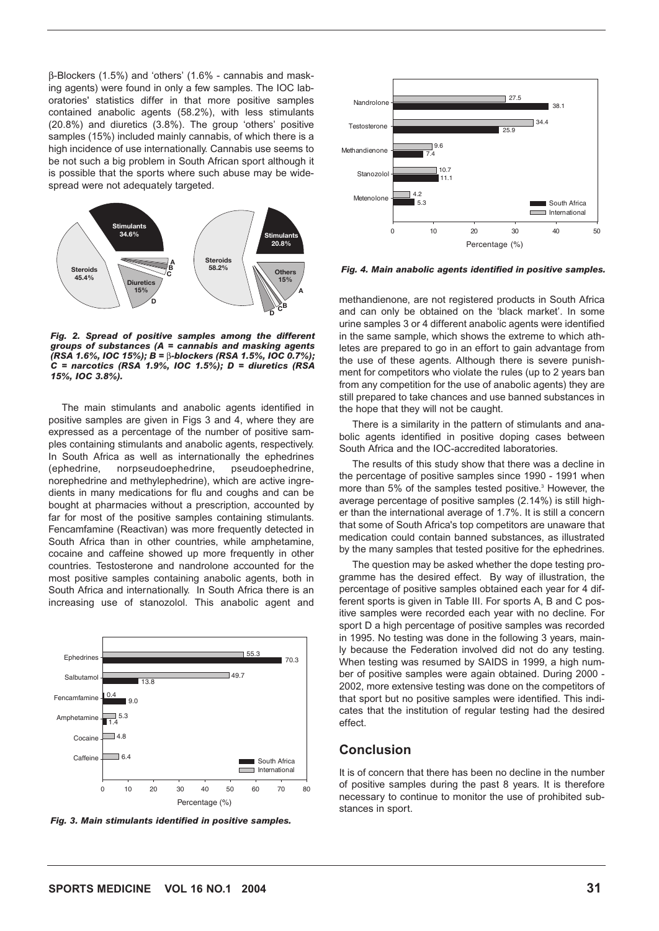β-Blockers (1.5%) and 'others' (1.6% - cannabis and masking agents) were found in only a few samples. The IOC laboratories' statistics differ in that more positive samples contained anabolic agents (58.2%), with less stimulants (20.8%) and diuretics (3.8%). The group 'others' positive samples (15%) included mainly cannabis, of which there is a high incidence of use internationally. Cannabis use seems to be not such a big problem in South African sport although it is possible that the sports where such abuse may be widespread were not adequately targeted.



*Fig. 2. Spread of positive samples among the different groups of substances (A = cannabis and masking agents (RSA 1.6%, IOC 15%); B =* β*-blockers (RSA 1.5%, IOC 0.7%); C = narcotics (RSA 1.9%, IOC 1.5%); D = diuretics (RSA 15%, IOC 3.8%).*

The main stimulants and anabolic agents identified in positive samples are given in Figs 3 and 4, where they are expressed as a percentage of the number of positive samples containing stimulants and anabolic agents, respectively. In South Africa as well as internationally the ephedrines (ephedrine, norpseudoephedrine, pseudoephedrine, norephedrine and methylephedrine), which are active ingredients in many medications for flu and coughs and can be bought at pharmacies without a prescription, accounted by far for most of the positive samples containing stimulants. Fencamfamine (Reactivan) was more frequently detected in South Africa than in other countries, while amphetamine, cocaine and caffeine showed up more frequently in other countries. Testosterone and nandrolone accounted for the most positive samples containing anabolic agents, both in South Africa and internationally. In South Africa there is an increasing use of stanozolol. This anabolic agent and



*Fig. 3. Main stimulants identified in positive samples.*



*Fig. 4. Main anabolic agents identified in positive samples.*

methandienone, are not registered products in South Africa and can only be obtained on the 'black market'. In some urine samples 3 or 4 different anabolic agents were identified in the same sample, which shows the extreme to which athletes are prepared to go in an effort to gain advantage from the use of these agents. Although there is severe punishment for competitors who violate the rules (up to 2 years ban from any competition for the use of anabolic agents) they are still prepared to take chances and use banned substances in the hope that they will not be caught.

There is a similarity in the pattern of stimulants and anabolic agents identified in positive doping cases between South Africa and the IOC-accredited laboratories.

The results of this study show that there was a decline in the percentage of positive samples since 1990 - 1991 when more than 5% of the samples tested positive.<sup>3</sup> However, the average percentage of positive samples (2.14%) is still higher than the international average of 1.7%. It is still a concern that some of South Africa's top competitors are unaware that medication could contain banned substances, as illustrated by the many samples that tested positive for the ephedrines.

The question may be asked whether the dope testing programme has the desired effect. By way of illustration, the percentage of positive samples obtained each year for 4 different sports is given in Table III. For sports A, B and C positive samples were recorded each year with no decline. For sport D a high percentage of positive samples was recorded in 1995. No testing was done in the following 3 years, mainly because the Federation involved did not do any testing. When testing was resumed by SAIDS in 1999, a high number of positive samples were again obtained. During 2000 - 2002, more extensive testing was done on the competitors of that sport but no positive samples were identified. This indicates that the institution of regular testing had the desired effect.

### **Conclusion**

It is of concern that there has been no decline in the number of positive samples during the past 8 years. It is therefore necessary to continue to monitor the use of prohibited substances in sport.